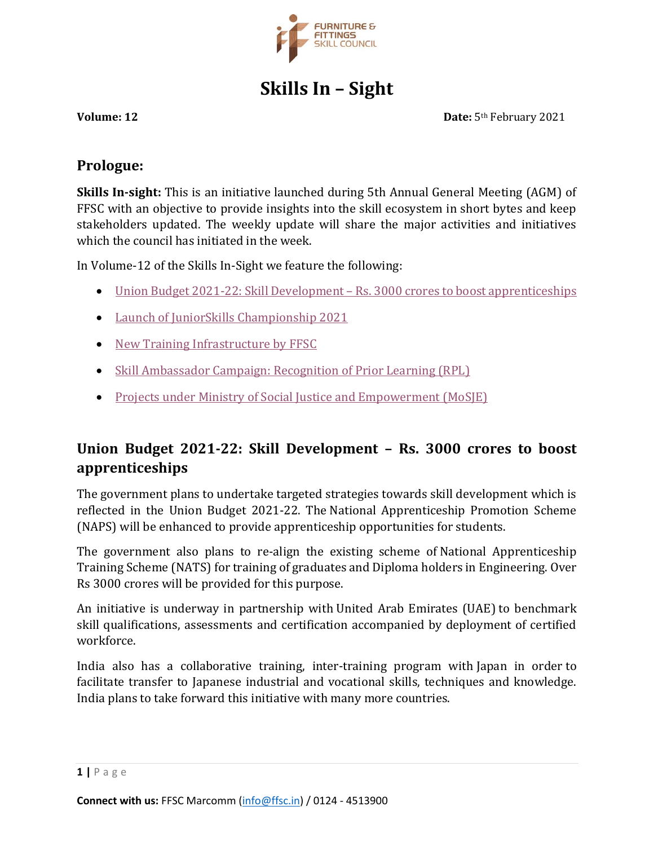

# **Skills In – Sight**

**Volume: 12 Date:** 5<sup>th</sup> February 2021

## **Prologue:**

**Skills In-sight:** This is an initiative launched during 5th Annual General Meeting (AGM) of FFSC with an objective to provide insights into the skill ecosystem in short bytes and keep stakeholders updated. The weekly update will share the major activities and initiatives which the council has initiated in the week.

In Volume-12 of the Skills In-Sight we feature the following:

- [Union Budget 2021-22: Skill Development](#page-0-0)  Rs. 3000 crores to boost apprenticeships
- [Launch of JuniorSkills Championship 2021](#page-1-0)
- [New Training Infrastructure by FFSC](#page-2-0)
- [Skill Ambassador Campaign: Recognition of Prior Learning \(RPL\)](#page-2-1)
- [Projects under Ministry of Social Justice and Empowerment \(MoSJE\)](#page-3-0)

## <span id="page-0-0"></span>**Union Budget 2021-22: Skill Development – Rs. 3000 crores to boost apprenticeships**

The government plans to undertake targeted strategies towards skill development which is reflected in the Union Budget 2021-22. The National Apprenticeship Promotion Scheme (NAPS) will be enhanced to provide apprenticeship opportunities for students.

The government also plans to re-align the existing scheme of National Apprenticeship Training Scheme (NATS) for training of graduates and Diploma holders in Engineering. Over Rs 3000 crores will be provided for this purpose.

An initiative is underway in partnership with United Arab Emirates (UAE) to benchmark skill qualifications, assessments and certification accompanied by deployment of certified workforce.

India also has a collaborative training, inter-training program with Japan in order to facilitate transfer to Japanese industrial and vocational skills, techniques and knowledge. India plans to take forward this initiative with many more countries.

**<sup>1</sup> |** P a g e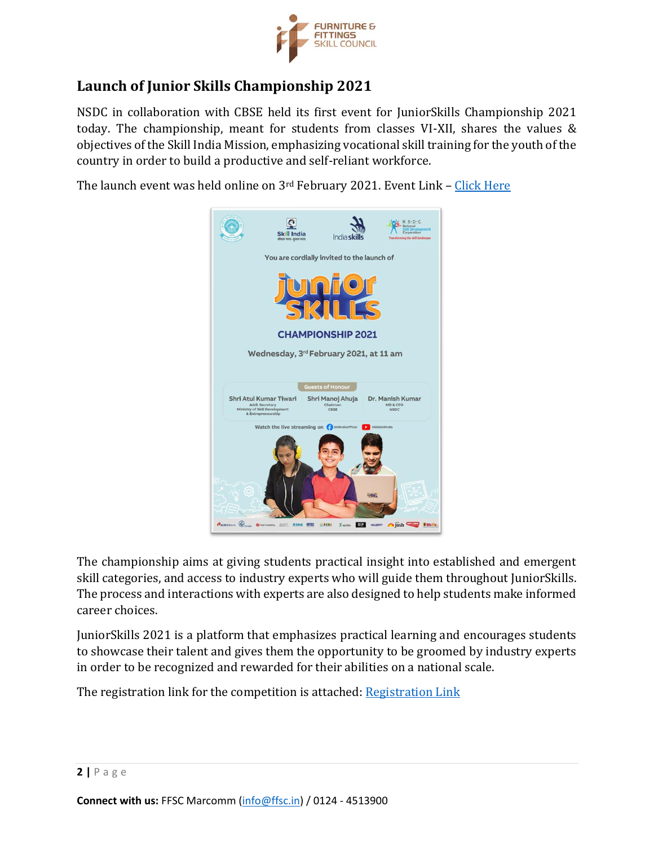

## <span id="page-1-0"></span>**Launch of Junior Skills Championship 2021**

NSDC in collaboration with CBSE held its first event for JuniorSkills Championship 2021 today. The championship, meant for students from classes VI-XII, shares the values & objectives of the Skill India Mission, emphasizing vocational skill training for the youth of the country in order to build a productive and self-reliant workforce.

The launch event was held online on 3rd February 2021. Event Link - [Click Here](https://www.facebook.com/SkillIndiaOfficial/videos/1807178572781741)



The championship aims at giving students practical insight into established and emergent skill categories, and access to industry experts who will guide them throughout JuniorSkills. The process and interactions with experts are also designed to help students make informed career choices.

JuniorSkills 2021 is a platform that emphasizes practical learning and encourages students to showcase their talent and gives them the opportunity to be groomed by industry experts in order to be recognized and rewarded for their abilities on a national scale.

The registration link for the competition is attached: [Registration Link](https://www.worldskillsindia.co.in/juniorskills2021/?fbclid=IwAR0wq92DMgl-AKkU_AEPj71zviirjD1L6stDwQTmVztbw0gYuCVtVtoJAqE)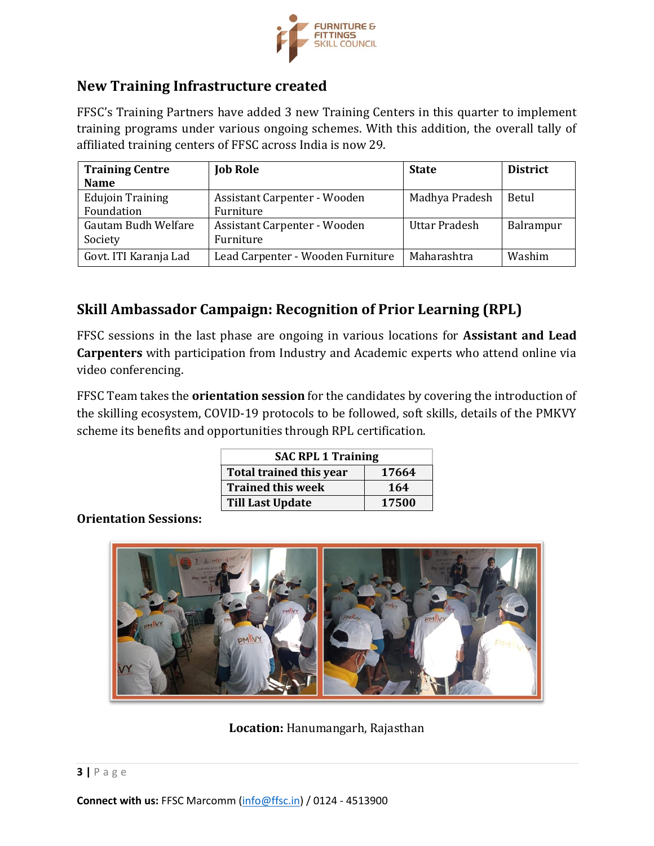

## <span id="page-2-0"></span>**New Training Infrastructure created**

FFSC's Training Partners have added 3 new Training Centers in this quarter to implement training programs under various ongoing schemes. With this addition, the overall tally of affiliated training centers of FFSC across India is now 29.

| <b>Training Centre</b>  | <b>Job Role</b>                   | <b>State</b>   | <b>District</b> |
|-------------------------|-----------------------------------|----------------|-----------------|
| <b>Name</b>             |                                   |                |                 |
| <b>Edujoin Training</b> | Assistant Carpenter - Wooden      | Madhya Pradesh | Betul           |
| Foundation              | Furniture                         |                |                 |
| Gautam Budh Welfare     | Assistant Carpenter - Wooden      | Uttar Pradesh  | Balrampur       |
| Society                 | Furniture                         |                |                 |
| Govt. ITI Karanja Lad   | Lead Carpenter - Wooden Furniture | Maharashtra    | Washim          |

## <span id="page-2-1"></span>**Skill Ambassador Campaign: Recognition of Prior Learning (RPL)**

FFSC sessions in the last phase are ongoing in various locations for **Assistant and Lead Carpenters** with participation from Industry and Academic experts who attend online via video conferencing.

FFSC Team takes the **orientation session** for the candidates by covering the introduction of the skilling ecosystem, COVID-19 protocols to be followed, soft skills, details of the PMKVY scheme its benefits and opportunities through RPL certification.

| <b>SAC RPL 1 Training</b> |       |  |  |
|---------------------------|-------|--|--|
| Total trained this year   | 17664 |  |  |
| <b>Trained this week</b>  | 164   |  |  |
| <b>Till Last Update</b>   | 17500 |  |  |

#### **Orientation Sessions:**



**Location:** Hanumangarh, Rajasthan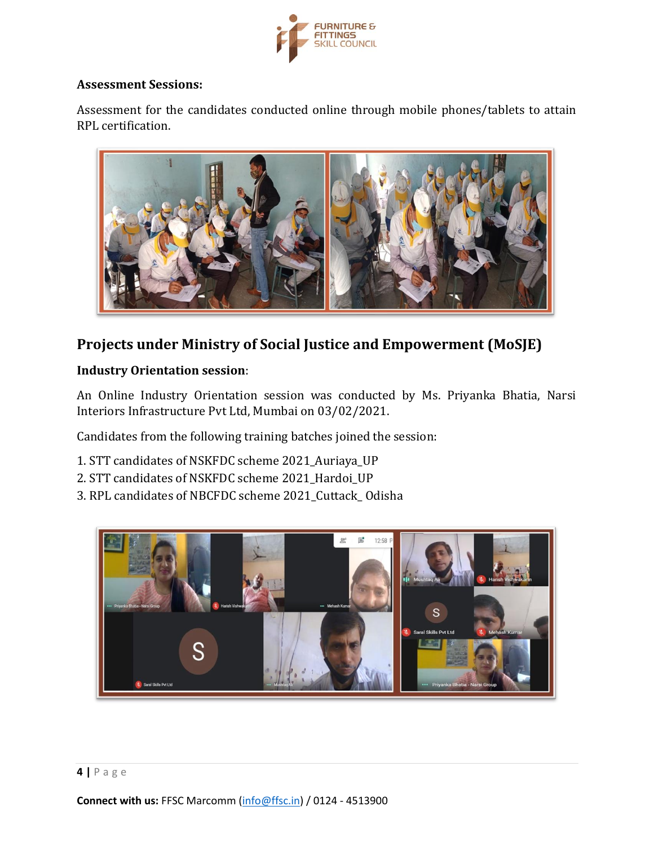

#### **Assessment Sessions:**

Assessment for the candidates conducted online through mobile phones/tablets to attain RPL certification.



## <span id="page-3-0"></span>**Projects under Ministry of Social Justice and Empowerment (MoSJE)**

#### **Industry Orientation session**:

An Online Industry Orientation session was conducted by Ms. Priyanka Bhatia, Narsi Interiors Infrastructure Pvt Ltd, Mumbai on 03/02/2021.

Candidates from the following training batches joined the session:

- 1. STT candidates of NSKFDC scheme 2021\_Auriaya\_UP
- 2. STT candidates of NSKFDC scheme 2021 Hardoi UP
- 3. RPL candidates of NBCFDC scheme 2021\_Cuttack\_ Odisha

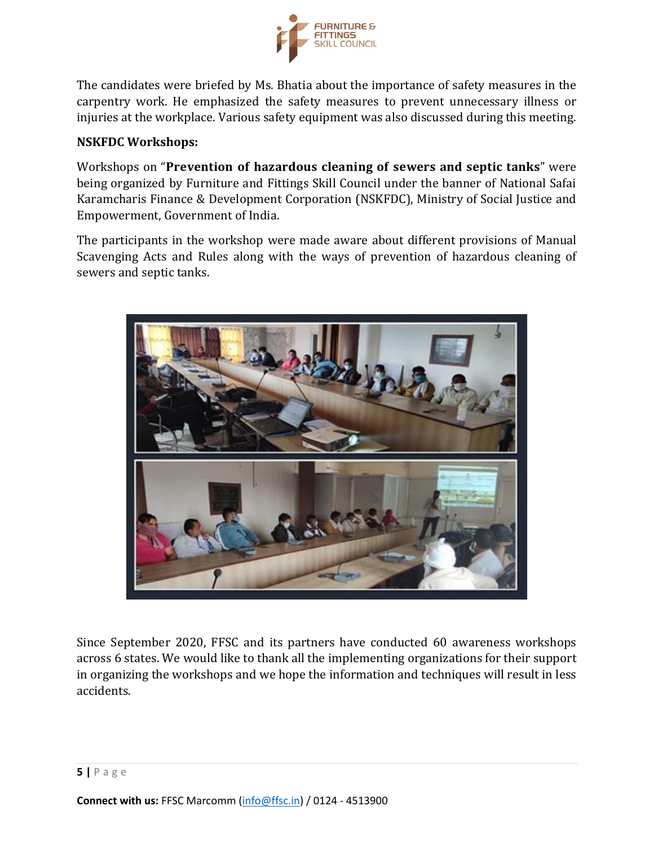

The candidates were briefed by Ms. Bhatia about the importance of safety measures in the carpentry work. He emphasized the safety measures to prevent unnecessary illness or injuries at the workplace. Various safety equipment was also discussed during this meeting.

#### **NSKFDC Workshops:**

Workshops on "Prevention of hazardous cleaning of sewers and septic tanks" were being organized by Furniture and Fittings Skill Council under the banner of National Safai Karamcharis Finance & Development Corporation (NSKFDC), Ministry of Social Justice and Empowerment, Government of India.

The participants in the workshop were made aware about different provisions of Manual Scavenging Acts and Rules along with the ways of prevention of hazardous cleaning of sewers and septic tanks.



Since September 2020, FFSC and its partners have conducted 60 awareness workshops across 6 states. We would like to thank all the implementing organizations for their support in organizing the workshops and we hope the information and techniques will result in less accidents.